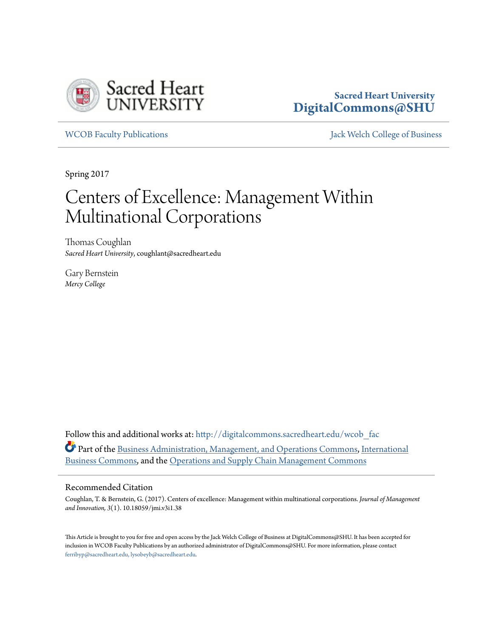

# **Sacred Heart University [DigitalCommons@SHU](http://digitalcommons.sacredheart.edu?utm_source=digitalcommons.sacredheart.edu%2Fwcob_fac%2F437&utm_medium=PDF&utm_campaign=PDFCoverPages)**

[WCOB Faculty Publications](http://digitalcommons.sacredheart.edu/wcob_fac?utm_source=digitalcommons.sacredheart.edu%2Fwcob_fac%2F437&utm_medium=PDF&utm_campaign=PDFCoverPages) [Jack Welch College of Business](http://digitalcommons.sacredheart.edu/wcob?utm_source=digitalcommons.sacredheart.edu%2Fwcob_fac%2F437&utm_medium=PDF&utm_campaign=PDFCoverPages)

Spring 2017

# Centers of Excellence: Management Within Multinational Corporations

Thomas Coughlan *Sacred Heart University*, coughlant@sacredheart.edu

Gary Bernstein *Mercy College*

Follow this and additional works at: [http://digitalcommons.sacredheart.edu/wcob\\_fac](http://digitalcommons.sacredheart.edu/wcob_fac?utm_source=digitalcommons.sacredheart.edu%2Fwcob_fac%2F437&utm_medium=PDF&utm_campaign=PDFCoverPages) Part of the [Business Administration, Management, and Operations Commons](http://network.bepress.com/hgg/discipline/623?utm_source=digitalcommons.sacredheart.edu%2Fwcob_fac%2F437&utm_medium=PDF&utm_campaign=PDFCoverPages), [International](http://network.bepress.com/hgg/discipline/634?utm_source=digitalcommons.sacredheart.edu%2Fwcob_fac%2F437&utm_medium=PDF&utm_campaign=PDFCoverPages) [Business Commons,](http://network.bepress.com/hgg/discipline/634?utm_source=digitalcommons.sacredheart.edu%2Fwcob_fac%2F437&utm_medium=PDF&utm_campaign=PDFCoverPages) and the [Operations and Supply Chain Management Commons](http://network.bepress.com/hgg/discipline/1229?utm_source=digitalcommons.sacredheart.edu%2Fwcob_fac%2F437&utm_medium=PDF&utm_campaign=PDFCoverPages)

#### Recommended Citation

Coughlan, T. & Bernstein, G. (2017). Centers of excellence: Management within multinational corporations. *Journal of Management and Innovation, 3*(1). 10.18059/jmi.v3i1.38

This Article is brought to you for free and open access by the Jack Welch College of Business at DigitalCommons@SHU. It has been accepted for inclusion in WCOB Faculty Publications by an authorized administrator of DigitalCommons@SHU. For more information, please contact [ferribyp@sacredheart.edu, lysobeyb@sacredheart.edu.](mailto:ferribyp@sacredheart.edu,%20lysobeyb@sacredheart.edu)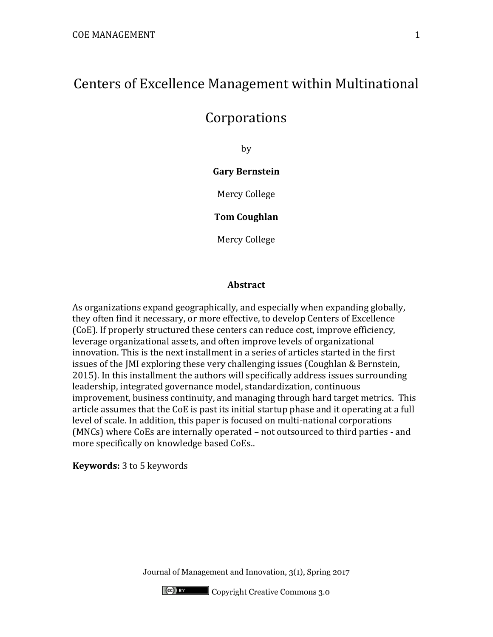# Centers of Excellence Management within Multinational

# Corporations

by

# **Gary Bernstein**

Mercy College

**Tom Coughlan** 

Mercy College

#### **Abstract**

As organizations expand geographically, and especially when expanding globally, they often find it necessary, or more effective, to develop Centers of Excellence (CoE). If properly structured these centers can reduce cost, improve efficiency, leverage organizational assets, and often improve levels of organizational innovation. This is the next installment in a series of articles started in the first issues of the JMI exploring these very challenging issues (Coughlan & Bernstein, 2015). In this installment the authors will specifically address issues surrounding leadership, integrated governance model, standardization, continuous improvement, business continuity, and managing through hard target metrics. This article assumes that the CoE is past its initial startup phase and it operating at a full level of scale. In addition, this paper is focused on multi-national corporations (MNCs) where CoEs are internally operated – not outsourced to third parties - and more specifically on knowledge based CoEs..

**Keywords:** 3 to 5 keywords

Journal of Management and Innovation, 3(1), Spring 2017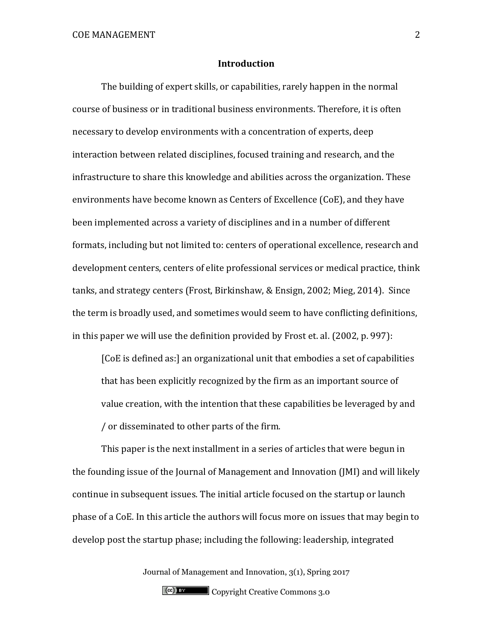#### **Introduction**

The building of expert skills, or capabilities, rarely happen in the normal course of business or in traditional business environments. Therefore, it is often necessary to develop environments with a concentration of experts, deep interaction between related disciplines, focused training and research, and the infrastructure to share this knowledge and abilities across the organization. These environments have become known as Centers of Excellence (CoE), and they have been implemented across a variety of disciplines and in a number of different formats, including but not limited to: centers of operational excellence, research and development centers, centers of elite professional services or medical practice, think tanks, and strategy centers (Frost, Birkinshaw, & Ensign, 2002; Mieg, 2014). Since the term is broadly used, and sometimes would seem to have conflicting definitions, in this paper we will use the definition provided by Frost et. al. (2002, p. 997):

[CoE is defined as:] an organizational unit that embodies a set of capabilities that has been explicitly recognized by the firm as an important source of value creation, with the intention that these capabilities be leveraged by and / or disseminated to other parts of the firm.

This paper is the next installment in a series of articles that were begun in the founding issue of the Journal of Management and Innovation (JMI) and will likely continue in subsequent issues. The initial article focused on the startup or launch phase of a CoE. In this article the authors will focus more on issues that may begin to develop post the startup phase; including the following: leadership, integrated

Journal of Management and Innovation, 3(1), Spring 2017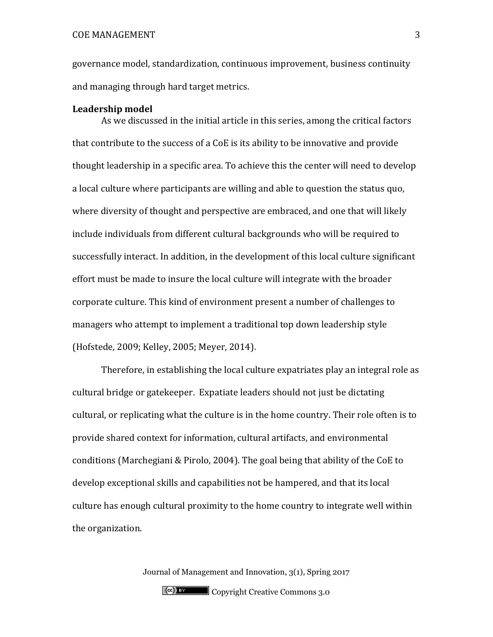governance model, standardization, continuous improvement, business continuity and managing through hard target metrics.

#### **Leadership model**

As we discussed in the initial article in this series, among the critical factors that contribute to the success of a CoE is its ability to be innovative and provide thought leadership in a specific area. To achieve this the center will need to develop a local culture where participants are willing and able to question the status quo, where diversity of thought and perspective are embraced, and one that will likely include individuals from different cultural backgrounds who will be required to successfully interact. In addition, in the development of this local culture significant effort must be made to insure the local culture will integrate with the broader corporate culture. This kind of environment present a number of challenges to managers who attempt to implement a traditional top down leadership style (Hofstede, 2009; Kelley, 2005; Meyer, 2014).

Therefore, in establishing the local culture expatriates play an integral role as cultural bridge or gatekeeper. Expatiate leaders should not just be dictating cultural, or replicating what the culture is in the home country. Their role often is to provide shared context for information, cultural artifacts, and environmental conditions (Marchegiani & Pirolo, 2004). The goal being that ability of the CoE to develop exceptional skills and capabilities not be hampered, and that its local culture has enough cultural proximity to the home country to integrate well within the organization.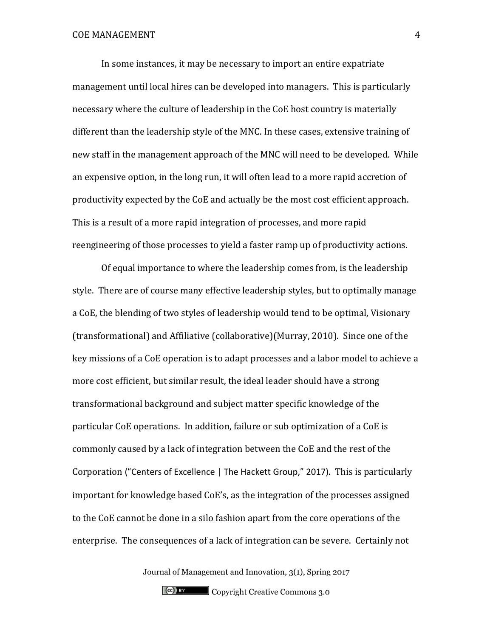In some instances, it may be necessary to import an entire expatriate management until local hires can be developed into managers. This is particularly necessary where the culture of leadership in the CoE host country is materially different than the leadership style of the MNC. In these cases, extensive training of new staff in the management approach of the MNC will need to be developed. While an expensive option, in the long run, it will often lead to a more rapid accretion of productivity expected by the CoE and actually be the most cost efficient approach. This is a result of a more rapid integration of processes, and more rapid reengineering of those processes to yield a faster ramp up of productivity actions.

Of equal importance to where the leadership comes from, is the leadership style. There are of course many effective leadership styles, but to optimally manage a CoE, the blending of two styles of leadership would tend to be optimal, Visionary (transformational) and Affiliative (collaborative)(Murray, 2010). Since one of the key missions of a CoE operation is to adapt processes and a labor model to achieve a more cost efficient, but similar result, the ideal leader should have a strong transformational background and subject matter specific knowledge of the particular CoE operations. In addition, failure or sub optimization of a CoE is commonly caused by a lack of integration between the CoE and the rest of the Corporation ("Centers of Excellence | The Hackett Group," 2017). This is particularly important for knowledge based CoE's, as the integration of the processes assigned to the CoE cannot be done in a silo fashion apart from the core operations of the enterprise. The consequences of a lack of integration can be severe. Certainly not

Journal of Management and Innovation, 3(1), Spring 2017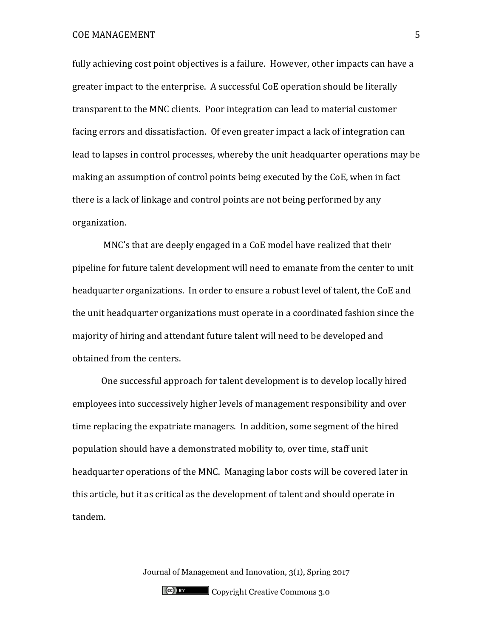fully achieving cost point objectives is a failure. However, other impacts can have a greater impact to the enterprise. A successful CoE operation should be literally transparent to the MNC clients. Poor integration can lead to material customer facing errors and dissatisfaction. Of even greater impact a lack of integration can lead to lapses in control processes, whereby the unit headquarter operations may be making an assumption of control points being executed by the CoE, when in fact there is a lack of linkage and control points are not being performed by any organization.

MNC's that are deeply engaged in a CoE model have realized that their pipeline for future talent development will need to emanate from the center to unit headquarter organizations. In order to ensure a robust level of talent, the CoE and the unit headquarter organizations must operate in a coordinated fashion since the majority of hiring and attendant future talent will need to be developed and obtained from the centers.

One successful approach for talent development is to develop locally hired employees into successively higher levels of management responsibility and over time replacing the expatriate managers. In addition, some segment of the hired population should have a demonstrated mobility to, over time, staff unit headquarter operations of the MNC. Managing labor costs will be covered later in this article, but it as critical as the development of talent and should operate in tandem.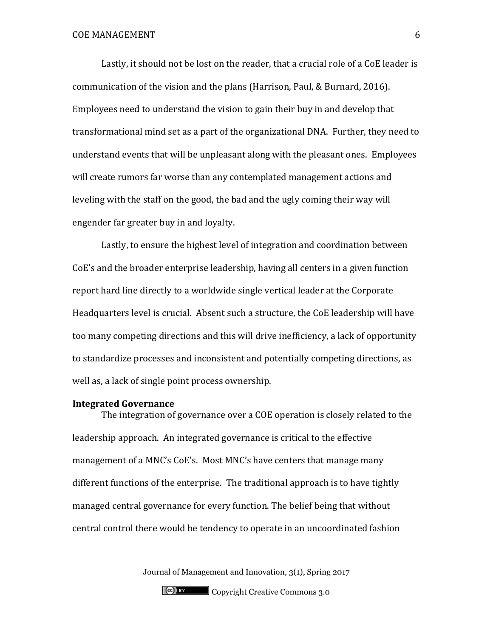Lastly, it should not be lost on the reader, that a crucial role of a CoE leader is communication of the vision and the plans (Harrison, Paul, & Burnard, 2016). Employees need to understand the vision to gain their buy in and develop that transformational mind set as a part of the organizational DNA. Further, they need to understand events that will be unpleasant along with the pleasant ones. Employees will create rumors far worse than any contemplated management actions and leveling with the staff on the good, the bad and the ugly coming their way will engender far greater buy in and loyalty.

Lastly, to ensure the highest level of integration and coordination between CoE's and the broader enterprise leadership, having all centers in a given function report hard line directly to a worldwide single vertical leader at the Corporate Headquarters level is crucial. Absent such a structure, the CoE leadership will have too many competing directions and this will drive inefficiency, a lack of opportunity to standardize processes and inconsistent and potentially competing directions, as well as, a lack of single point process ownership.

#### **Integrated Governance**

The integration of governance over a COE operation is closely related to the leadership approach. An integrated governance is critical to the effective management of a MNC's CoE's. Most MNC's have centers that manage many different functions of the enterprise. The traditional approach is to have tightly managed central governance for every function. The belief being that without central control there would be tendency to operate in an uncoordinated fashion

Journal of Management and Innovation, 3(1), Spring 2017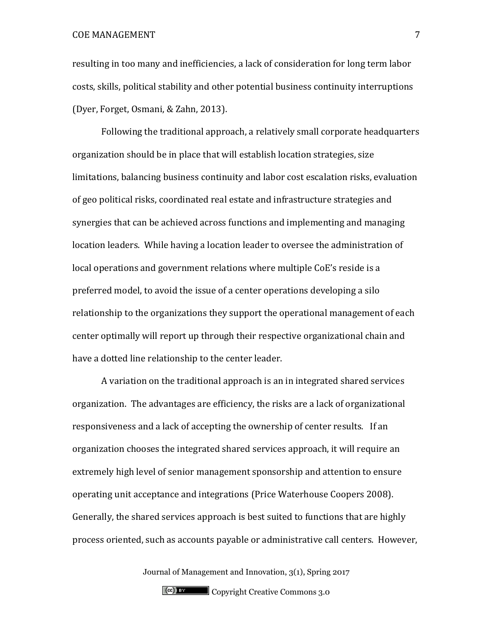resulting in too many and inefficiencies, a lack of consideration for long term labor costs, skills, political stability and other potential business continuity interruptions (Dyer, Forget, Osmani, & Zahn, 2013).

Following the traditional approach, a relatively small corporate headquarters organization should be in place that will establish location strategies, size limitations, balancing business continuity and labor cost escalation risks, evaluation of geo political risks, coordinated real estate and infrastructure strategies and synergies that can be achieved across functions and implementing and managing location leaders. While having a location leader to oversee the administration of local operations and government relations where multiple CoE's reside is a preferred model, to avoid the issue of a center operations developing a silo relationship to the organizations they support the operational management of each center optimally will report up through their respective organizational chain and have a dotted line relationship to the center leader.

A variation on the traditional approach is an in integrated shared services organization. The advantages are efficiency, the risks are a lack of organizational responsiveness and a lack of accepting the ownership of center results. If an organization chooses the integrated shared services approach, it will require an extremely high level of senior management sponsorship and attention to ensure operating unit acceptance and integrations (Price Waterhouse Coopers 2008). Generally, the shared services approach is best suited to functions that are highly process oriented, such as accounts payable or administrative call centers. However,

Journal of Management and Innovation, 3(1), Spring 2017

Copyright Creative Commons 3.0

7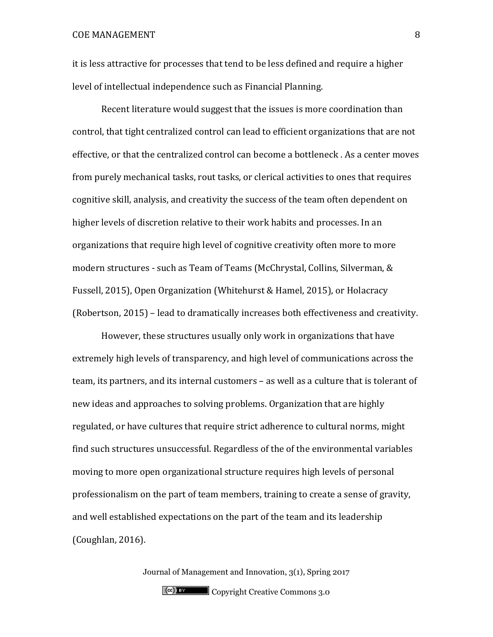it is less attractive for processes that tend to be less defined and require a higher level of intellectual independence such as Financial Planning.

Recent literature would suggest that the issues is more coordination than control, that tight centralized control can lead to efficient organizations that are not effective, or that the centralized control can become a bottleneck . As a center moves from purely mechanical tasks, rout tasks, or clerical activities to ones that requires cognitive skill, analysis, and creativity the success of the team often dependent on higher levels of discretion relative to their work habits and processes. In an organizations that require high level of cognitive creativity often more to more modern structures - such as Team of Teams (McChrystal, Collins, Silverman, & Fussell, 2015), Open Organization (Whitehurst & Hamel, 2015), or Holacracy (Robertson, 2015) – lead to dramatically increases both effectiveness and creativity.

However, these structures usually only work in organizations that have extremely high levels of transparency, and high level of communications across the team, its partners, and its internal customers – as well as a culture that is tolerant of new ideas and approaches to solving problems. Organization that are highly regulated, or have cultures that require strict adherence to cultural norms, might find such structures unsuccessful. Regardless of the of the environmental variables moving to more open organizational structure requires high levels of personal professionalism on the part of team members, training to create a sense of gravity, and well established expectations on the part of the team and its leadership (Coughlan, 2016).

> Journal of Management and Innovation, 3(1), Spring 2017 Copyright Creative Commons 3.0

8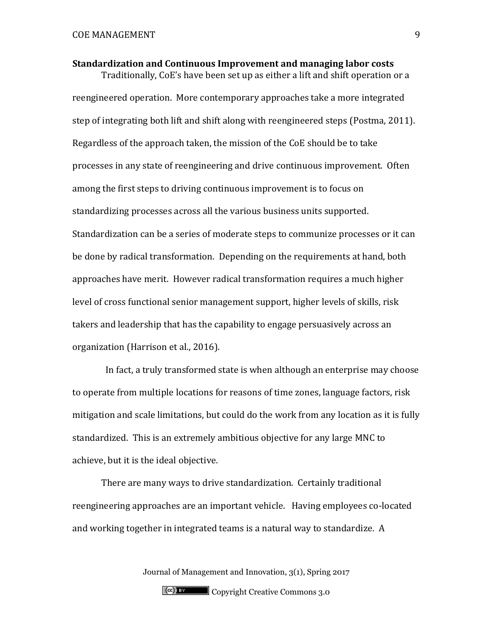**Standardization and Continuous Improvement and managing labor costs** Traditionally, CoE's have been set up as either a lift and shift operation or a reengineered operation. More contemporary approaches take a more integrated step of integrating both lift and shift along with reengineered steps (Postma, 2011). Regardless of the approach taken, the mission of the CoE should be to take processes in any state of reengineering and drive continuous improvement. Often among the first steps to driving continuous improvement is to focus on standardizing processes across all the various business units supported. Standardization can be a series of moderate steps to communize processes or it can be done by radical transformation. Depending on the requirements at hand, both approaches have merit. However radical transformation requires a much higher level of cross functional senior management support, higher levels of skills, risk takers and leadership that has the capability to engage persuasively across an

organization (Harrison et al., 2016).

 In fact, a truly transformed state is when although an enterprise may choose to operate from multiple locations for reasons of time zones, language factors, risk mitigation and scale limitations, but could do the work from any location as it is fully standardized. This is an extremely ambitious objective for any large MNC to achieve, but it is the ideal objective.

There are many ways to drive standardization. Certainly traditional reengineering approaches are an important vehicle. Having employees co-located and working together in integrated teams is a natural way to standardize. A

Journal of Management and Innovation, 3(1), Spring 2017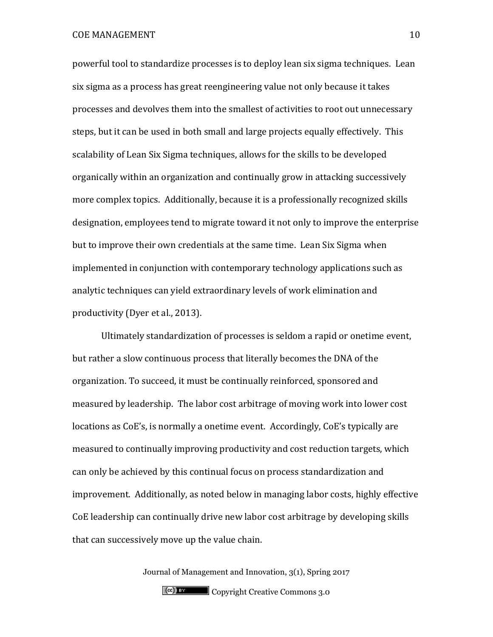powerful tool to standardize processes is to deploy lean six sigma techniques. Lean six sigma as a process has great reengineering value not only because it takes processes and devolves them into the smallest of activities to root out unnecessary steps, but it can be used in both small and large projects equally effectively. This scalability of Lean Six Sigma techniques, allows for the skills to be developed organically within an organization and continually grow in attacking successively more complex topics. Additionally, because it is a professionally recognized skills designation, employees tend to migrate toward it not only to improve the enterprise but to improve their own credentials at the same time. Lean Six Sigma when implemented in conjunction with contemporary technology applications such as analytic techniques can yield extraordinary levels of work elimination and productivity (Dyer et al., 2013).

Ultimately standardization of processes is seldom a rapid or onetime event, but rather a slow continuous process that literally becomes the DNA of the organization. To succeed, it must be continually reinforced, sponsored and measured by leadership. The labor cost arbitrage of moving work into lower cost locations as CoE's, is normally a onetime event. Accordingly, CoE's typically are measured to continually improving productivity and cost reduction targets, which can only be achieved by this continual focus on process standardization and improvement. Additionally, as noted below in managing labor costs, highly effective CoE leadership can continually drive new labor cost arbitrage by developing skills that can successively move up the value chain.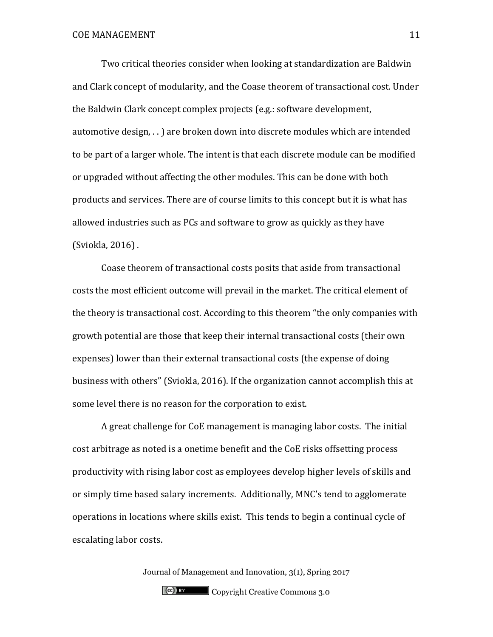Two critical theories consider when looking at standardization are Baldwin and Clark concept of modularity, and the Coase theorem of transactional cost. Under the Baldwin Clark concept complex projects (e.g.: software development, automotive design, . . ) are broken down into discrete modules which are intended to be part of a larger whole. The intent is that each discrete module can be modified or upgraded without affecting the other modules. This can be done with both products and services. There are of course limits to this concept but it is what has allowed industries such as PCs and software to grow as quickly as they have (Sviokla, 2016) .

Coase theorem of transactional costs posits that aside from transactional costs the most efficient outcome will prevail in the market. The critical element of the theory is transactional cost. According to this theorem "the only companies with growth potential are those that keep their internal transactional costs (their own expenses) lower than their external transactional costs (the expense of doing business with others" (Sviokla, 2016). If the organization cannot accomplish this at some level there is no reason for the corporation to exist.

A great challenge for CoE management is managing labor costs. The initial cost arbitrage as noted is a onetime benefit and the CoE risks offsetting process productivity with rising labor cost as employees develop higher levels of skills and or simply time based salary increments. Additionally, MNC's tend to agglomerate operations in locations where skills exist. This tends to begin a continual cycle of escalating labor costs.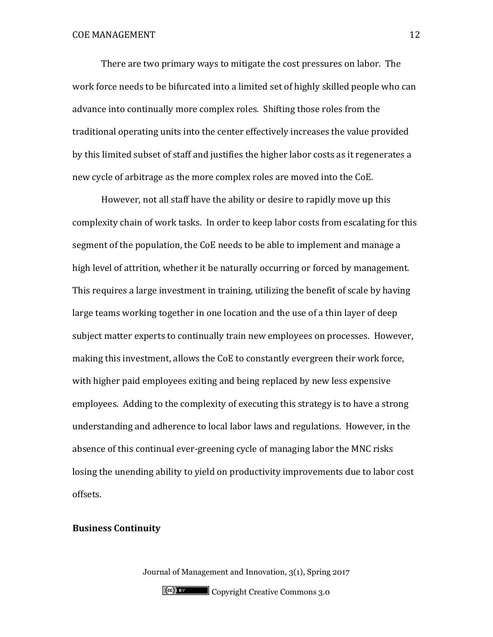There are two primary ways to mitigate the cost pressures on labor. The work force needs to be bifurcated into a limited set of highly skilled people who can advance into continually more complex roles. Shifting those roles from the traditional operating units into the center effectively increases the value provided by this limited subset of staff and justifies the higher labor costs as it regenerates a new cycle of arbitrage as the more complex roles are moved into the CoE.

However, not all staff have the ability or desire to rapidly move up this complexity chain of work tasks. In order to keep labor costs from escalating for this segment of the population, the CoE needs to be able to implement and manage a high level of attrition, whether it be naturally occurring or forced by management. This requires a large investment in training, utilizing the benefit of scale by having large teams working together in one location and the use of a thin layer of deep subject matter experts to continually train new employees on processes. However, making this investment, allows the CoE to constantly evergreen their work force, with higher paid employees exiting and being replaced by new less expensive employees. Adding to the complexity of executing this strategy is to have a strong understanding and adherence to local labor laws and regulations. However, in the absence of this continual ever-greening cycle of managing labor the MNC risks losing the unending ability to yield on productivity improvements due to labor cost offsets.

## **Business Continuity**

Journal of Management and Innovation, 3(1), Spring 2017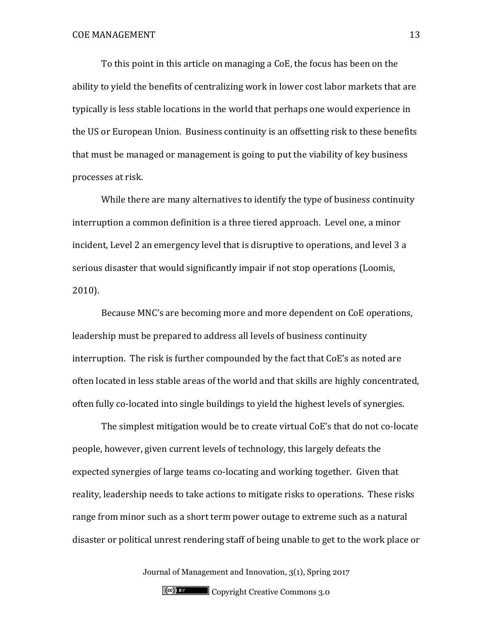To this point in this article on managing a CoE, the focus has been on the ability to yield the benefits of centralizing work in lower cost labor markets that are typically is less stable locations in the world that perhaps one would experience in the US or European Union. Business continuity is an offsetting risk to these benefits that must be managed or management is going to put the viability of key business processes at risk.

While there are many alternatives to identify the type of business continuity interruption a common definition is a three tiered approach. Level one, a minor incident, Level 2 an emergency level that is disruptive to operations, and level 3 a serious disaster that would significantly impair if not stop operations (Loomis, 2010).

Because MNC's are becoming more and more dependent on CoE operations, leadership must be prepared to address all levels of business continuity interruption. The risk is further compounded by the fact that CoE's as noted are often located in less stable areas of the world and that skills are highly concentrated, often fully co-located into single buildings to yield the highest levels of synergies.

The simplest mitigation would be to create virtual CoE's that do not co-locate people, however, given current levels of technology, this largely defeats the expected synergies of large teams co-locating and working together. Given that reality, leadership needs to take actions to mitigate risks to operations. These risks range from minor such as a short term power outage to extreme such as a natural disaster or political unrest rendering staff of being unable to get to the work place or

Journal of Management and Innovation, 3(1), Spring 2017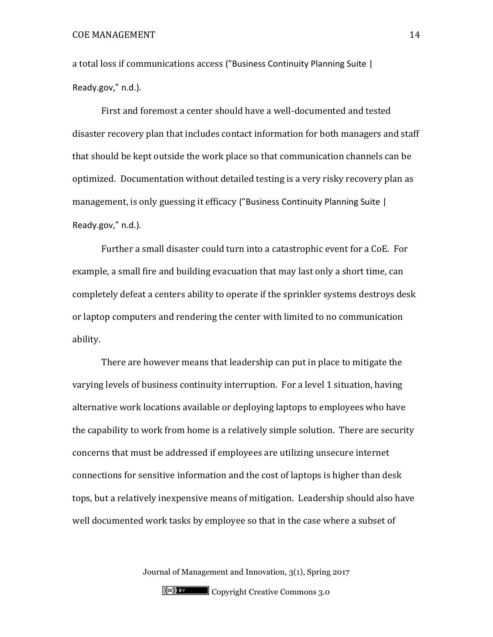a total loss if communications access ("Business Continuity Planning Suite | Ready.gov," n.d.).

First and foremost a center should have a well-documented and tested disaster recovery plan that includes contact information for both managers and staff that should be kept outside the work place so that communication channels can be optimized. Documentation without detailed testing is a very risky recovery plan as management, is only guessing it efficacy ("Business Continuity Planning Suite | Ready.gov," n.d.).

Further a small disaster could turn into a catastrophic event for a CoE. For example, a small fire and building evacuation that may last only a short time, can completely defeat a centers ability to operate if the sprinkler systems destroys desk or laptop computers and rendering the center with limited to no communication ability.

There are however means that leadership can put in place to mitigate the varying levels of business continuity interruption. For a level 1 situation, having alternative work locations available or deploying laptops to employees who have the capability to work from home is a relatively simple solution. There are security concerns that must be addressed if employees are utilizing unsecure internet connections for sensitive information and the cost of laptops is higher than desk tops, but a relatively inexpensive means of mitigation. Leadership should also have well documented work tasks by employee so that in the case where a subset of

Journal of Management and Innovation, 3(1), Spring 2017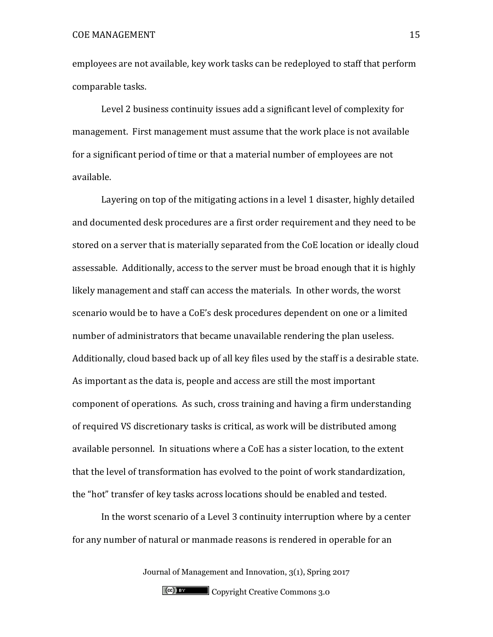employees are not available, key work tasks can be redeployed to staff that perform comparable tasks.

Level 2 business continuity issues add a significant level of complexity for management. First management must assume that the work place is not available for a significant period of time or that a material number of employees are not available.

Layering on top of the mitigating actions in a level 1 disaster, highly detailed and documented desk procedures are a first order requirement and they need to be stored on a server that is materially separated from the CoE location or ideally cloud assessable. Additionally, access to the server must be broad enough that it is highly likely management and staff can access the materials. In other words, the worst scenario would be to have a CoE's desk procedures dependent on one or a limited number of administrators that became unavailable rendering the plan useless. Additionally, cloud based back up of all key files used by the staff is a desirable state. As important as the data is, people and access are still the most important component of operations. As such, cross training and having a firm understanding of required VS discretionary tasks is critical, as work will be distributed among available personnel. In situations where a CoE has a sister location, to the extent that the level of transformation has evolved to the point of work standardization, the "hot" transfer of key tasks across locations should be enabled and tested.

In the worst scenario of a Level 3 continuity interruption where by a center for any number of natural or manmade reasons is rendered in operable for an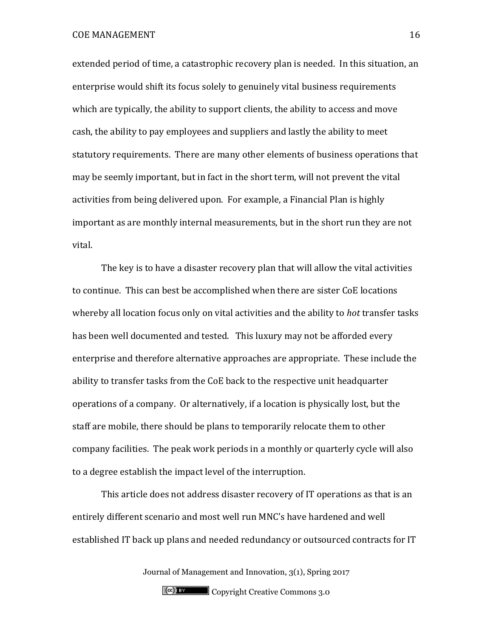extended period of time, a catastrophic recovery plan is needed. In this situation, an enterprise would shift its focus solely to genuinely vital business requirements which are typically, the ability to support clients, the ability to access and move cash, the ability to pay employees and suppliers and lastly the ability to meet statutory requirements. There are many other elements of business operations that may be seemly important, but in fact in the short term, will not prevent the vital activities from being delivered upon. For example, a Financial Plan is highly important as are monthly internal measurements, but in the short run they are not vital.

The key is to have a disaster recovery plan that will allow the vital activities to continue. This can best be accomplished when there are sister CoE locations whereby all location focus only on vital activities and the ability to *hot* transfer tasks has been well documented and tested. This luxury may not be afforded every enterprise and therefore alternative approaches are appropriate. These include the ability to transfer tasks from the CoE back to the respective unit headquarter operations of a company. Or alternatively, if a location is physically lost, but the staff are mobile, there should be plans to temporarily relocate them to other company facilities. The peak work periods in a monthly or quarterly cycle will also to a degree establish the impact level of the interruption.

This article does not address disaster recovery of IT operations as that is an entirely different scenario and most well run MNC's have hardened and well established IT back up plans and needed redundancy or outsourced contracts for IT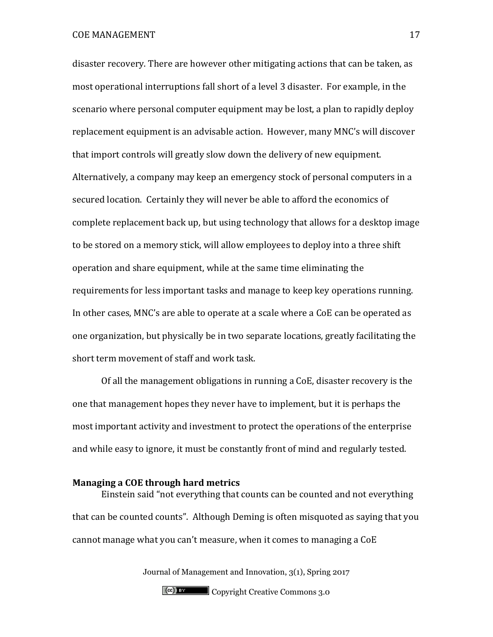disaster recovery. There are however other mitigating actions that can be taken, as most operational interruptions fall short of a level 3 disaster. For example, in the scenario where personal computer equipment may be lost, a plan to rapidly deploy replacement equipment is an advisable action. However, many MNC's will discover that import controls will greatly slow down the delivery of new equipment. Alternatively, a company may keep an emergency stock of personal computers in a secured location. Certainly they will never be able to afford the economics of complete replacement back up, but using technology that allows for a desktop image to be stored on a memory stick, will allow employees to deploy into a three shift operation and share equipment, while at the same time eliminating the requirements for less important tasks and manage to keep key operations running. In other cases, MNC's are able to operate at a scale where a CoE can be operated as one organization, but physically be in two separate locations, greatly facilitating the short term movement of staff and work task.

Of all the management obligations in running a CoE, disaster recovery is the one that management hopes they never have to implement, but it is perhaps the most important activity and investment to protect the operations of the enterprise and while easy to ignore, it must be constantly front of mind and regularly tested.

#### **Managing a COE through hard metrics**

Einstein said "not everything that counts can be counted and not everything that can be counted counts". Although Deming is often misquoted as saying that you cannot manage what you can't measure, when it comes to managing a CoE

Journal of Management and Innovation, 3(1), Spring 2017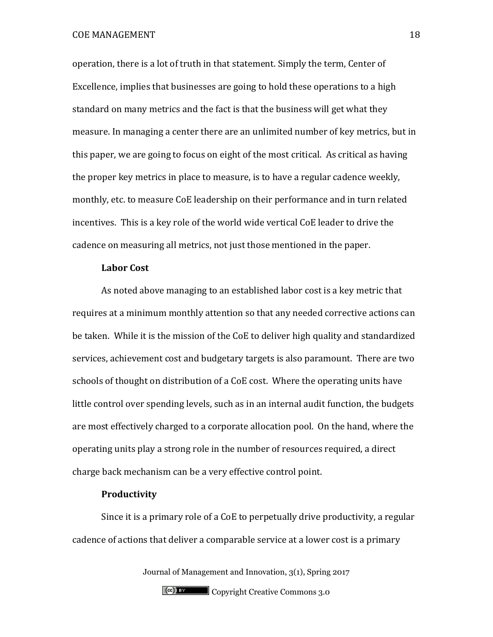operation, there is a lot of truth in that statement. Simply the term, Center of Excellence, implies that businesses are going to hold these operations to a high standard on many metrics and the fact is that the business will get what they measure. In managing a center there are an unlimited number of key metrics, but in this paper, we are going to focus on eight of the most critical. As critical as having the proper key metrics in place to measure, is to have a regular cadence weekly, monthly, etc. to measure CoE leadership on their performance and in turn related incentives. This is a key role of the world wide vertical CoE leader to drive the cadence on measuring all metrics, not just those mentioned in the paper.

#### **Labor Cost**

As noted above managing to an established labor cost is a key metric that requires at a minimum monthly attention so that any needed corrective actions can be taken. While it is the mission of the CoE to deliver high quality and standardized services, achievement cost and budgetary targets is also paramount. There are two schools of thought on distribution of a CoE cost. Where the operating units have little control over spending levels, such as in an internal audit function, the budgets are most effectively charged to a corporate allocation pool. On the hand, where the operating units play a strong role in the number of resources required, a direct charge back mechanism can be a very effective control point.

## **Productivity**

Since it is a primary role of a CoE to perpetually drive productivity, a regular cadence of actions that deliver a comparable service at a lower cost is a primary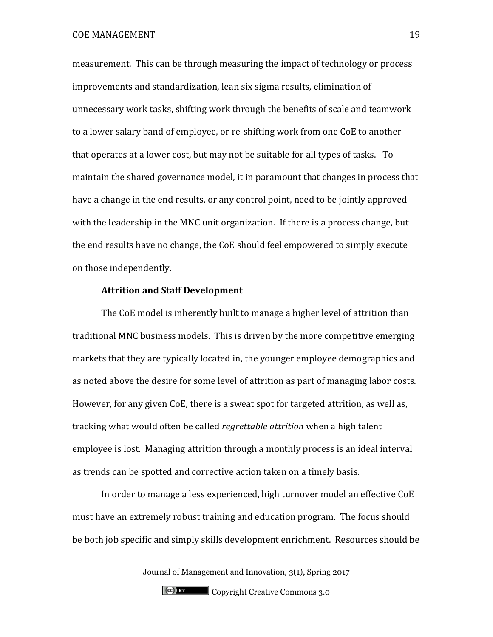measurement. This can be through measuring the impact of technology or process improvements and standardization, lean six sigma results, elimination of unnecessary work tasks, shifting work through the benefits of scale and teamwork to a lower salary band of employee, or re-shifting work from one CoE to another that operates at a lower cost, but may not be suitable for all types of tasks. To maintain the shared governance model, it in paramount that changes in process that have a change in the end results, or any control point, need to be jointly approved with the leadership in the MNC unit organization. If there is a process change, but the end results have no change, the CoE should feel empowered to simply execute on those independently.

# **Attrition and Staff Development**

The CoE model is inherently built to manage a higher level of attrition than traditional MNC business models. This is driven by the more competitive emerging markets that they are typically located in, the younger employee demographics and as noted above the desire for some level of attrition as part of managing labor costs. However, for any given CoE, there is a sweat spot for targeted attrition, as well as, tracking what would often be called *regrettable attrition* when a high talent employee is lost. Managing attrition through a monthly process is an ideal interval as trends can be spotted and corrective action taken on a timely basis.

In order to manage a less experienced, high turnover model an effective CoE must have an extremely robust training and education program. The focus should be both job specific and simply skills development enrichment. Resources should be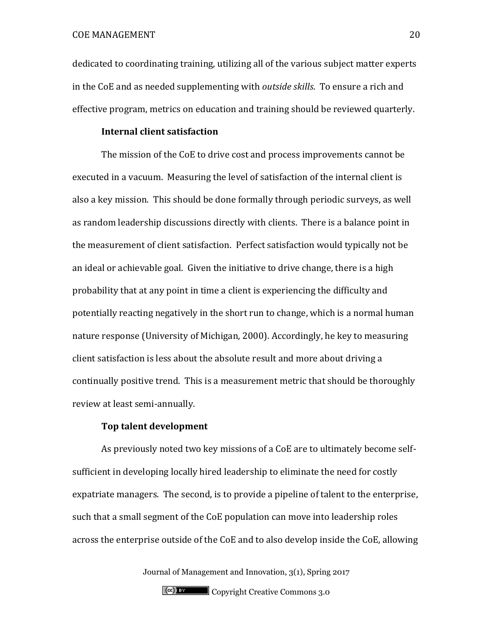dedicated to coordinating training, utilizing all of the various subject matter experts in the CoE and as needed supplementing with *outside skills*. To ensure a rich and effective program, metrics on education and training should be reviewed quarterly.

#### **Internal client satisfaction**

The mission of the CoE to drive cost and process improvements cannot be executed in a vacuum. Measuring the level of satisfaction of the internal client is also a key mission. This should be done formally through periodic surveys, as well as random leadership discussions directly with clients. There is a balance point in the measurement of client satisfaction. Perfect satisfaction would typically not be an ideal or achievable goal. Given the initiative to drive change, there is a high probability that at any point in time a client is experiencing the difficulty and potentially reacting negatively in the short run to change, which is a normal human nature response (University of Michigan, 2000). Accordingly, he key to measuring client satisfaction is less about the absolute result and more about driving a continually positive trend. This is a measurement metric that should be thoroughly review at least semi-annually.

## **Top talent development**

As previously noted two key missions of a CoE are to ultimately become selfsufficient in developing locally hired leadership to eliminate the need for costly expatriate managers. The second, is to provide a pipeline of talent to the enterprise, such that a small segment of the CoE population can move into leadership roles across the enterprise outside of the CoE and to also develop inside the CoE, allowing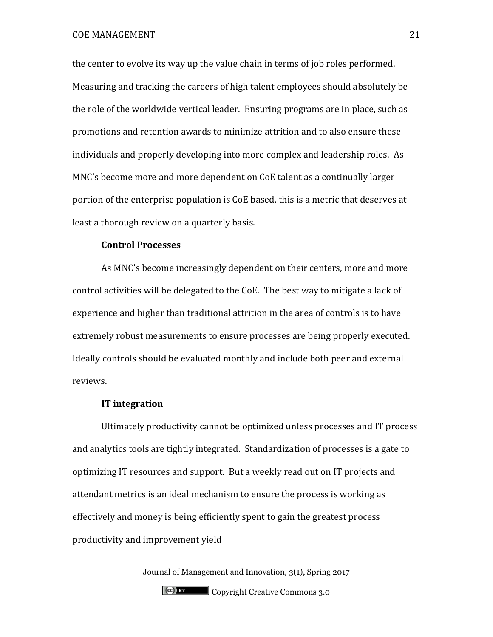the center to evolve its way up the value chain in terms of job roles performed. Measuring and tracking the careers of high talent employees should absolutely be the role of the worldwide vertical leader. Ensuring programs are in place, such as promotions and retention awards to minimize attrition and to also ensure these individuals and properly developing into more complex and leadership roles. As MNC's become more and more dependent on CoE talent as a continually larger portion of the enterprise population is CoE based, this is a metric that deserves at least a thorough review on a quarterly basis.

## **Control Processes**

As MNC's become increasingly dependent on their centers, more and more control activities will be delegated to the CoE. The best way to mitigate a lack of experience and higher than traditional attrition in the area of controls is to have extremely robust measurements to ensure processes are being properly executed. Ideally controls should be evaluated monthly and include both peer and external reviews.

# **IT integration**

Ultimately productivity cannot be optimized unless processes and IT process and analytics tools are tightly integrated. Standardization of processes is a gate to optimizing IT resources and support. But a weekly read out on IT projects and attendant metrics is an ideal mechanism to ensure the process is working as effectively and money is being efficiently spent to gain the greatest process productivity and improvement yield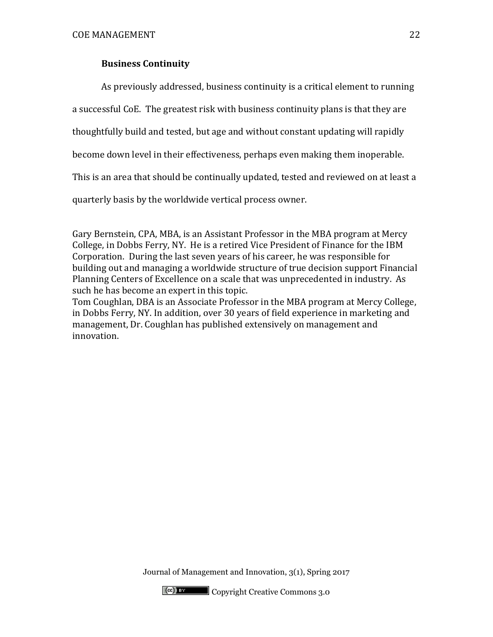# **Business Continuity**

As previously addressed, business continuity is a critical element to running

a successful CoE. The greatest risk with business continuity plans is that they are

thoughtfully build and tested, but age and without constant updating will rapidly

become down level in their effectiveness, perhaps even making them inoperable.

This is an area that should be continually updated, tested and reviewed on at least a

quarterly basis by the worldwide vertical process owner.

Gary Bernstein, CPA, MBA, is an Assistant Professor in the MBA program at Mercy College, in Dobbs Ferry, NY. He is a retired Vice President of Finance for the IBM Corporation. During the last seven years of his career, he was responsible for building out and managing a worldwide structure of true decision support Financial Planning Centers of Excellence on a scale that was unprecedented in industry. As such he has become an expert in this topic.

Tom Coughlan, DBA is an Associate Professor in the MBA program at Mercy College, in Dobbs Ferry, NY. In addition, over 30 years of field experience in marketing and management, Dr. Coughlan has published extensively on management and innovation.

Journal of Management and Innovation, 3(1), Spring 2017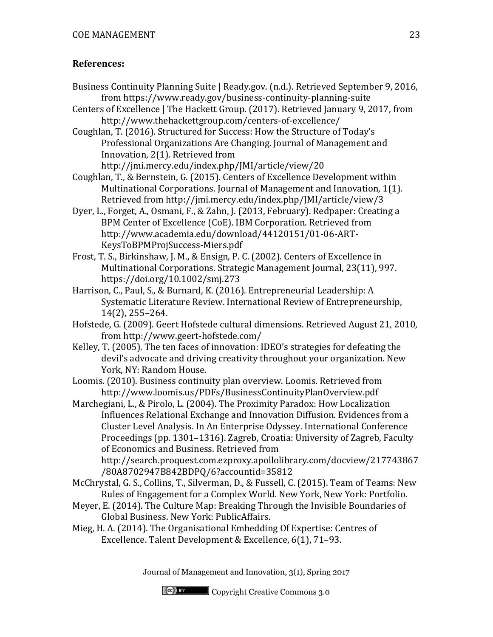# **References:**

- Business Continuity Planning Suite | Ready.gov. (n.d.). Retrieved September 9, 2016, from https://www.ready.gov/business-continuity-planning-suite
- Centers of Excellence | The Hackett Group. (2017). Retrieved January 9, 2017, from http://www.thehackettgroup.com/centers-of-excellence/

Coughlan, T. (2016). Structured for Success: How the Structure of Today's Professional Organizations Are Changing. Journal of Management and Innovation, 2(1). Retrieved from

http://jmi.mercy.edu/index.php/JMI/article/view/20

Coughlan, T., & Bernstein, G. (2015). Centers of Excellence Development within Multinational Corporations. Journal of Management and Innovation, 1(1). Retrieved from http://jmi.mercy.edu/index.php/JMI/article/view/3

- Dyer, L., Forget, A., Osmani, F., & Zahn, J. (2013, February). Redpaper: Creating a BPM Center of Excellence (CoE). IBM Corporation. Retrieved from http://www.academia.edu/download/44120151/01-06-ART-KeysToBPMProjSuccess-Miers.pdf
- Frost, T. S., Birkinshaw, J. M., & Ensign, P. C. (2002). Centers of Excellence in Multinational Corporations. Strategic Management Journal, 23(11), 997. https://doi.org/10.1002/smj.273
- Harrison, C., Paul, S., & Burnard, K. (2016). Entrepreneurial Leadership: A Systematic Literature Review. International Review of Entrepreneurship, 14(2), 255–264.
- Hofstede, G. (2009). Geert Hofstede cultural dimensions. Retrieved August 21, 2010, from http://www.geert-hofstede.com/
- Kelley, T. (2005). The ten faces of innovation: IDEO's strategies for defeating the devil's advocate and driving creativity throughout your organization. New York, NY: Random House.

Loomis. (2010). Business continuity plan overview. Loomis. Retrieved from http://www.loomis.us/PDFs/BusinessContinuityPlanOverview.pdf

Marchegiani, L., & Pirolo, L. (2004). The Proximity Paradox: How Localization Influences Relational Exchange and Innovation Diffusion. Evidences from a Cluster Level Analysis. In An Enterprise Odyssey. International Conference Proceedings (pp. 1301–1316). Zagreb, Croatia: University of Zagreb, Faculty of Economics and Business. Retrieved from

http://search.proquest.com.ezproxy.apollolibrary.com/docview/217743867 /80A8702947B842BDPQ/6?accountid=35812

- McChrystal, G. S., Collins, T., Silverman, D., & Fussell, C. (2015). Team of Teams: New Rules of Engagement for a Complex World. New York, New York: Portfolio.
- Meyer, E. (2014). The Culture Map: Breaking Through the Invisible Boundaries of Global Business. New York: PublicAffairs.
- Mieg, H. A. (2014). The Organisational Embedding Of Expertise: Centres of Excellence. Talent Development & Excellence, 6(1), 71–93.

Journal of Management and Innovation, 3(1), Spring 2017